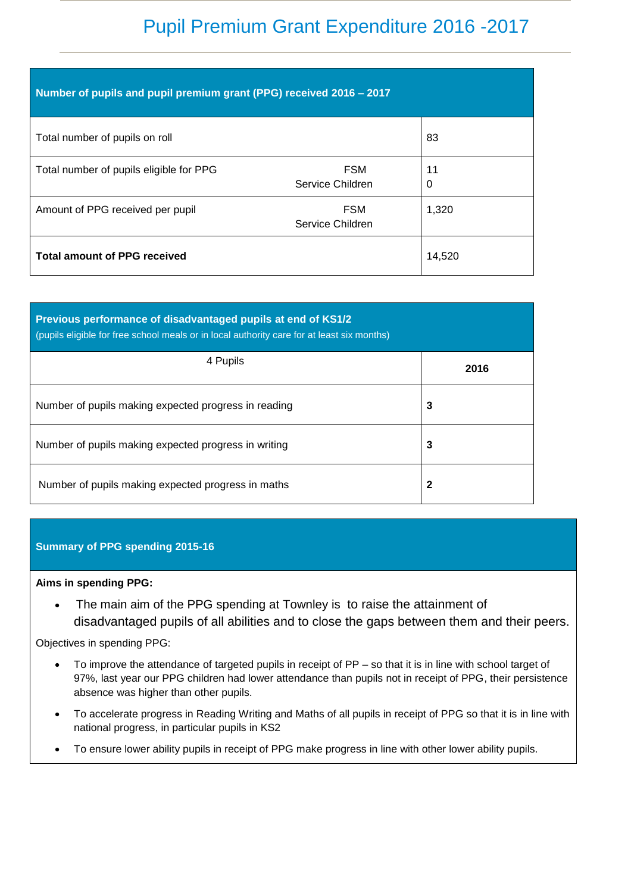# Pupil Premium Grant Expenditure 2016 -2017

| Number of pupils and pupil premium grant (PPG) received 2016 - 2017 |                                |         |  |
|---------------------------------------------------------------------|--------------------------------|---------|--|
| Total number of pupils on roll                                      |                                | 83      |  |
| Total number of pupils eligible for PPG                             | <b>FSM</b><br>Service Children | 11<br>0 |  |
| Amount of PPG received per pupil                                    | <b>FSM</b><br>Service Children | 1,320   |  |
| <b>Total amount of PPG received</b>                                 |                                | 14,520  |  |

| Previous performance of disadvantaged pupils at end of KS1/2<br>(pupils eligible for free school meals or in local authority care for at least six months) |      |  |  |
|------------------------------------------------------------------------------------------------------------------------------------------------------------|------|--|--|
| 4 Pupils                                                                                                                                                   | 2016 |  |  |
| Number of pupils making expected progress in reading                                                                                                       | 3    |  |  |
| Number of pupils making expected progress in writing                                                                                                       | 3    |  |  |
| Number of pupils making expected progress in maths                                                                                                         | 2    |  |  |

## **Summary of PPG spending 2015-16**

#### **Aims in spending PPG:**

• The main aim of the PPG spending at Townley is to raise the attainment of disadvantaged pupils of all abilities and to close the gaps between them and their peers.

### Objectives in spending PPG:

- To improve the attendance of targeted pupils in receipt of PP so that it is in line with school target of 97%, last year our PPG children had lower attendance than pupils not in receipt of PPG, their persistence absence was higher than other pupils.
- To accelerate progress in Reading Writing and Maths of all pupils in receipt of PPG so that it is in line with national progress, in particular pupils in KS2
- To ensure lower ability pupils in receipt of PPG make progress in line with other lower ability pupils.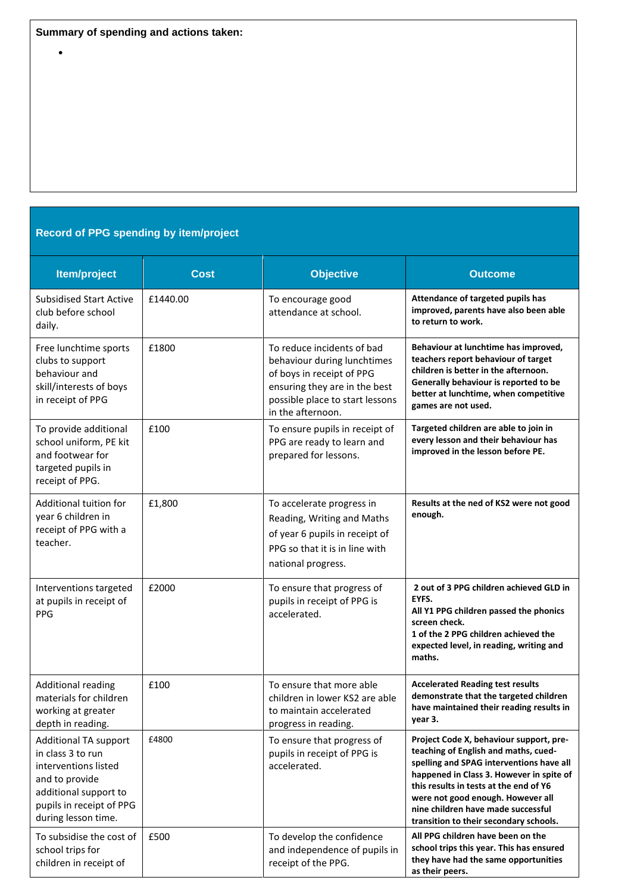$\bullet$ 

# **Record of PPG spending by item/project**

| Item/project                                                                                                                                                     | <b>Cost</b> | <b>Objective</b>                                                                                                                                                                | <b>Outcome</b>                                                                                                                                                                                                                                                                                                                         |
|------------------------------------------------------------------------------------------------------------------------------------------------------------------|-------------|---------------------------------------------------------------------------------------------------------------------------------------------------------------------------------|----------------------------------------------------------------------------------------------------------------------------------------------------------------------------------------------------------------------------------------------------------------------------------------------------------------------------------------|
| <b>Subsidised Start Active</b><br>club before school<br>daily.                                                                                                   | £1440.00    | To encourage good<br>attendance at school.                                                                                                                                      | Attendance of targeted pupils has<br>improved, parents have also been able<br>to return to work.                                                                                                                                                                                                                                       |
| Free lunchtime sports<br>clubs to support<br>behaviour and<br>skill/interests of boys<br>in receipt of PPG                                                       | £1800       | To reduce incidents of bad<br>behaviour during lunchtimes<br>of boys in receipt of PPG<br>ensuring they are in the best<br>possible place to start lessons<br>in the afternoon. | Behaviour at lunchtime has improved,<br>teachers report behaviour of target<br>children is better in the afternoon.<br>Generally behaviour is reported to be<br>better at lunchtime, when competitive<br>games are not used.                                                                                                           |
| To provide additional<br>school uniform, PE kit<br>and footwear for<br>targeted pupils in<br>receipt of PPG.                                                     | £100        | To ensure pupils in receipt of<br>PPG are ready to learn and<br>prepared for lessons.                                                                                           | Targeted children are able to join in<br>every lesson and their behaviour has<br>improved in the lesson before PE.                                                                                                                                                                                                                     |
| Additional tuition for<br>year 6 children in<br>receipt of PPG with a<br>teacher.                                                                                | £1,800      | To accelerate progress in<br>Reading, Writing and Maths<br>of year 6 pupils in receipt of<br>PPG so that it is in line with<br>national progress.                               | Results at the ned of KS2 were not good<br>enough.                                                                                                                                                                                                                                                                                     |
| Interventions targeted<br>at pupils in receipt of<br><b>PPG</b>                                                                                                  | £2000       | To ensure that progress of<br>pupils in receipt of PPG is<br>accelerated.                                                                                                       | 2 out of 3 PPG children achieved GLD in<br>EYFS.<br>All Y1 PPG children passed the phonics<br>screen check.<br>1 of the 2 PPG children achieved the<br>expected level, in reading, writing and<br>maths.                                                                                                                               |
| <b>Additional reading</b><br>materials for children<br>working at greater<br>depth in reading.                                                                   | £100        | To ensure that more able<br>children in lower KS2 are able<br>to maintain accelerated<br>progress in reading.                                                                   | <b>Accelerated Reading test results</b><br>demonstrate that the targeted children<br>have maintained their reading results in<br>year 3.                                                                                                                                                                                               |
| Additional TA support<br>in class 3 to run<br>interventions listed<br>and to provide<br>additional support to<br>pupils in receipt of PPG<br>during lesson time. | £4800       | To ensure that progress of<br>pupils in receipt of PPG is<br>accelerated.                                                                                                       | Project Code X, behaviour support, pre-<br>teaching of English and maths, cued-<br>spelling and SPAG interventions have all<br>happened in Class 3. However in spite of<br>this results in tests at the end of Y6<br>were not good enough. However all<br>nine children have made successful<br>transition to their secondary schools. |
| To subsidise the cost of<br>school trips for<br>children in receipt of                                                                                           | £500        | To develop the confidence<br>and independence of pupils in<br>receipt of the PPG.                                                                                               | All PPG children have been on the<br>school trips this year. This has ensured<br>they have had the same opportunities<br>as their peers.                                                                                                                                                                                               |